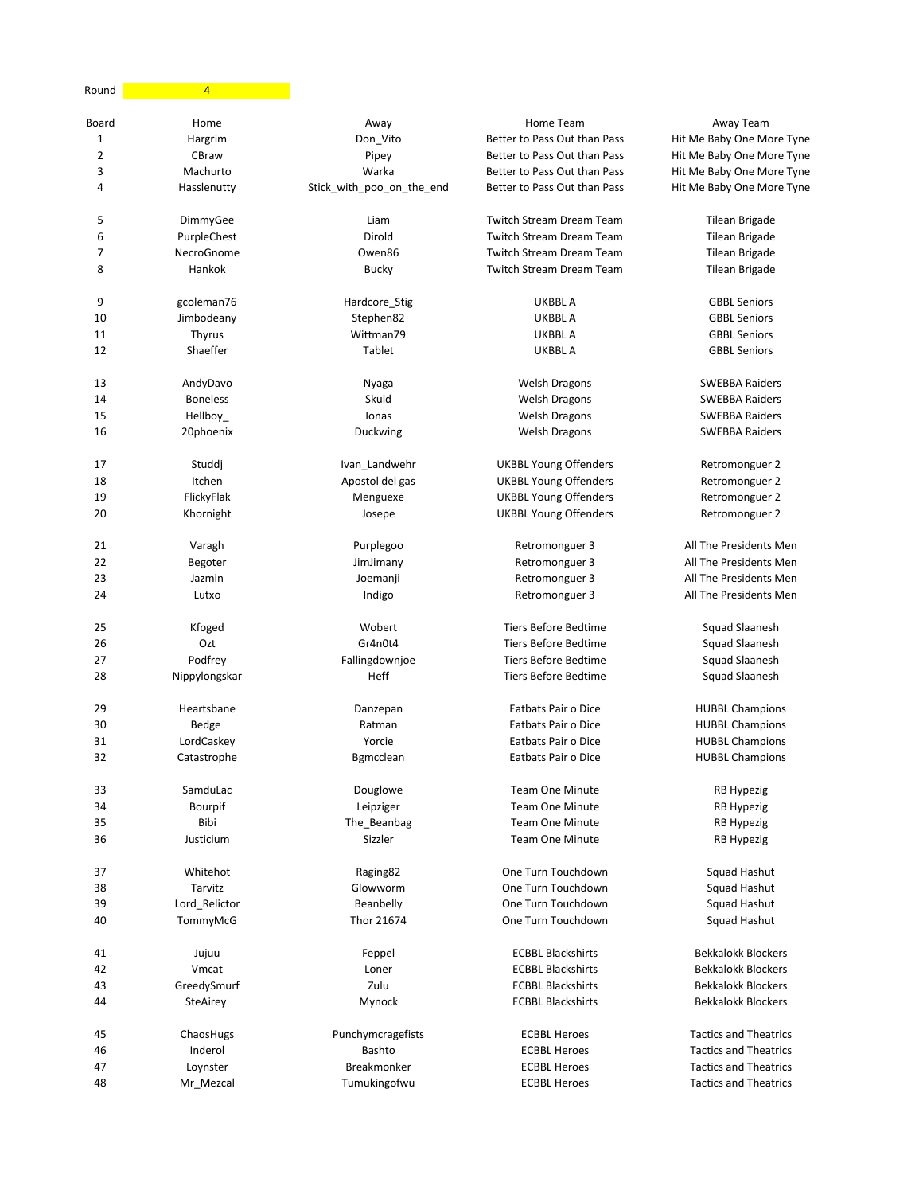| Round          | $\overline{4}$  |                           |                                 |                              |
|----------------|-----------------|---------------------------|---------------------------------|------------------------------|
| Board          | Home            | Away                      | Home Team                       | Away Team                    |
| 1              | Hargrim         | Don_Vito                  | Better to Pass Out than Pass    | Hit Me Baby One More Tyne    |
| $\overline{2}$ | CBraw           | Pipey                     | Better to Pass Out than Pass    | Hit Me Baby One More Tyne    |
| 3              | Machurto        | Warka                     | Better to Pass Out than Pass    | Hit Me Baby One More Tyne    |
| 4              | Hasslenutty     | Stick_with_poo_on_the_end | Better to Pass Out than Pass    | Hit Me Baby One More Tyne    |
| 5              | DimmyGee        | Liam                      | <b>Twitch Stream Dream Team</b> | Tilean Brigade               |
| 6              | PurpleChest     | Dirold                    | <b>Twitch Stream Dream Team</b> | <b>Tilean Brigade</b>        |
| $\overline{7}$ | NecroGnome      | Owen86                    | <b>Twitch Stream Dream Team</b> | Tilean Brigade               |
| 8              | Hankok          | <b>Bucky</b>              | <b>Twitch Stream Dream Team</b> | Tilean Brigade               |
| 9              | gcoleman76      | Hardcore_Stig             | UKBBL A                         | <b>GBBL Seniors</b>          |
| 10             | Jimbodeany      | Stephen82                 | UKBBL A                         | <b>GBBL Seniors</b>          |
| 11             | <b>Thyrus</b>   | Wittman79                 | UKBBL A                         | <b>GBBL Seniors</b>          |
| 12             | Shaeffer        | Tablet                    | UKBBL A                         | <b>GBBL Seniors</b>          |
| 13             | AndyDavo        | Nyaga                     | <b>Welsh Dragons</b>            | <b>SWEBBA Raiders</b>        |
| 14             | <b>Boneless</b> | Skuld                     | <b>Welsh Dragons</b>            | <b>SWEBBA Raiders</b>        |
| 15             | Hellboy         | Ionas                     | <b>Welsh Dragons</b>            | <b>SWEBBA Raiders</b>        |
| 16             | 20phoenix       | Duckwing                  | <b>Welsh Dragons</b>            | <b>SWEBBA Raiders</b>        |
| 17             | Studdj          | Ivan_Landwehr             | <b>UKBBL Young Offenders</b>    | Retromonguer 2               |
| 18             | Itchen          | Apostol del gas           | <b>UKBBL Young Offenders</b>    | Retromonguer 2               |
| 19             | FlickyFlak      | Menguexe                  | <b>UKBBL Young Offenders</b>    | Retromonguer 2               |
| 20             | Khornight       | Josepe                    | <b>UKBBL Young Offenders</b>    | Retromonguer 2               |
| 21             | Varagh          | Purplegoo                 | Retromonguer 3                  | All The Presidents Men       |
| 22             | Begoter         | JimJimany                 | Retromonguer 3                  | All The Presidents Men       |
| 23             | Jazmin          | Joemanji                  | Retromonguer 3                  | All The Presidents Men       |
| 24             | Lutxo           | Indigo                    | Retromonguer 3                  | All The Presidents Men       |
| 25             | Kfoged          | Wobert                    | <b>Tiers Before Bedtime</b>     | Squad Slaanesh               |
| 26             | Ozt             | Gr4n0t4                   | Tiers Before Bedtime            | Squad Slaanesh               |
| 27             | Podfrey         | Fallingdownjoe            | Tiers Before Bedtime            | Squad Slaanesh               |
| 28             | Nippylongskar   | Heff                      | <b>Tiers Before Bedtime</b>     | Squad Slaanesh               |
| 29             | Heartsbane      | Danzepan                  | Eatbats Pair o Dice             | <b>HUBBL Champions</b>       |
| 30             | Bedge           | Ratman                    | Eatbats Pair o Dice             | <b>HUBBL Champions</b>       |
| 31             | LordCaskey      | Yorcie                    | Eatbats Pair o Dice             | <b>HUBBL Champions</b>       |
| 32             | Catastrophe     | <b>Bgmcclean</b>          | Eatbats Pair o Dice             | <b>HUBBL Champions</b>       |
| 33             | SamduLac        | Douglowe                  | Team One Minute                 | <b>RB Hypezig</b>            |
| 34             | Bourpif         | Leipziger                 | <b>Team One Minute</b>          | <b>RB Hypezig</b>            |
| 35             | Bibi            | The_Beanbag               | <b>Team One Minute</b>          | RB Hypezig                   |
| 36             | Justicium       | Sizzler                   | <b>Team One Minute</b>          | RB Hypezig                   |
| 37             | Whitehot        | Raging82                  | One Turn Touchdown              | Squad Hashut                 |
| 38             | Tarvitz         | Glowworm                  | One Turn Touchdown              | Squad Hashut                 |
| 39             | Lord_Relictor   | Beanbelly                 | One Turn Touchdown              | Squad Hashut                 |
| 40             | TommyMcG        | Thor 21674                | One Turn Touchdown              | Squad Hashut                 |
| 41             | Jujuu           | Feppel                    | <b>ECBBL Blackshirts</b>        | <b>Bekkalokk Blockers</b>    |
| 42             | Vmcat           | Loner                     | <b>ECBBL Blackshirts</b>        | <b>Bekkalokk Blockers</b>    |
| 43             | GreedySmurf     | Zulu                      | <b>ECBBL Blackshirts</b>        | <b>Bekkalokk Blockers</b>    |
| 44             | SteAirey        | Mynock                    | <b>ECBBL Blackshirts</b>        | <b>Bekkalokk Blockers</b>    |
| 45             | ChaosHugs       | Punchymcragefists         | <b>ECBBL Heroes</b>             | <b>Tactics and Theatrics</b> |
| 46             | Inderol         | Bashto                    | <b>ECBBL Heroes</b>             | <b>Tactics and Theatrics</b> |
| 47             | Loynster        | Breakmonker               | <b>ECBBL Heroes</b>             | <b>Tactics and Theatrics</b> |
| 48             | Mr_Mezcal       | Tumukingofwu              | <b>ECBBL Heroes</b>             | <b>Tactics and Theatrics</b> |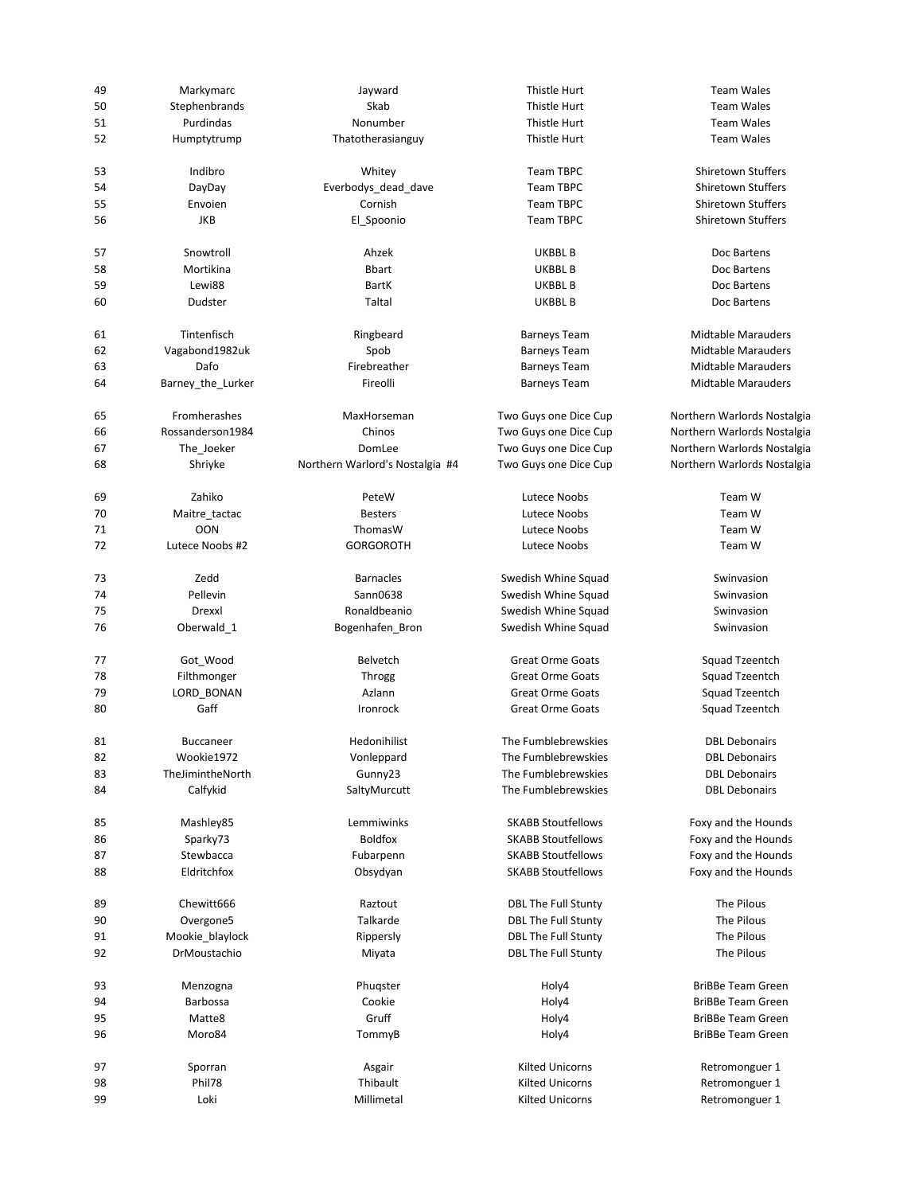| 49 | Markymarc         | Jayward                         | Thistle Hurt               | <b>Team Wales</b>           |
|----|-------------------|---------------------------------|----------------------------|-----------------------------|
| 50 | Stephenbrands     | Skab                            | Thistle Hurt               | <b>Team Wales</b>           |
| 51 | Purdindas         | Nonumber                        | Thistle Hurt               | <b>Team Wales</b>           |
| 52 | Humptytrump       | Thatotherasianguy               | Thistle Hurt               | <b>Team Wales</b>           |
|    |                   |                                 |                            |                             |
| 53 | Indibro           | Whitey                          | Team TBPC                  | <b>Shiretown Stuffers</b>   |
| 54 | DayDay            | Everbodys_dead_dave             | <b>Team TBPC</b>           | <b>Shiretown Stuffers</b>   |
| 55 | Envoien           | Cornish                         | <b>Team TBPC</b>           | <b>Shiretown Stuffers</b>   |
| 56 | JKB               | El_Spoonio                      | <b>Team TBPC</b>           | <b>Shiretown Stuffers</b>   |
| 57 | Snowtroll         | Ahzek                           | UKBBL B                    | Doc Bartens                 |
|    | Mortikina         | <b>Bbart</b>                    | UKBBL B                    |                             |
| 58 |                   |                                 |                            | Doc Bartens                 |
| 59 | Lewi88            | <b>BartK</b>                    | UKBBL B                    | Doc Bartens                 |
| 60 | Dudster           | Taltal                          | UKBBL B                    | Doc Bartens                 |
| 61 | Tintenfisch       | Ringbeard                       | <b>Barneys Team</b>        | <b>Midtable Marauders</b>   |
| 62 | Vagabond1982uk    | Spob                            | <b>Barneys Team</b>        | <b>Midtable Marauders</b>   |
| 63 | Dafo              | Firebreather                    | <b>Barneys Team</b>        | <b>Midtable Marauders</b>   |
| 64 | Barney_the_Lurker | Fireolli                        | <b>Barneys Team</b>        | Midtable Marauders          |
|    |                   |                                 |                            |                             |
| 65 | Fromherashes      | MaxHorseman                     | Two Guys one Dice Cup      | Northern Warlords Nostalgia |
| 66 | Rossanderson1984  | Chinos                          | Two Guys one Dice Cup      | Northern Warlords Nostalgia |
| 67 | The_Joeker        | DomLee                          | Two Guys one Dice Cup      | Northern Warlords Nostalgia |
| 68 | Shriyke           | Northern Warlord's Nostalgia #4 | Two Guys one Dice Cup      | Northern Warlords Nostalgia |
| 69 | Zahiko            | PeteW                           | Lutece Noobs               | Team W                      |
| 70 | Maitre_tactac     | <b>Besters</b>                  | Lutece Noobs               | Team W                      |
| 71 | <b>OON</b>        | ThomasW                         | Lutece Noobs               | Team W                      |
|    | Lutece Noobs #2   | <b>GORGOROTH</b>                | Lutece Noobs               |                             |
| 72 |                   |                                 |                            | Team W                      |
| 73 | Zedd              | <b>Barnacles</b>                | Swedish Whine Squad        | Swinvasion                  |
| 74 | Pellevin          | Sann0638                        | Swedish Whine Squad        | Swinvasion                  |
| 75 | Drexxl            | Ronaldbeanio                    | Swedish Whine Squad        | Swinvasion                  |
| 76 | Oberwald_1        | Bogenhafen_Bron                 | Swedish Whine Squad        | Swinvasion                  |
| 77 | Got_Wood          | Belvetch                        | <b>Great Orme Goats</b>    | Squad Tzeentch              |
| 78 | Filthmonger       | Throgg                          | <b>Great Orme Goats</b>    | Squad Tzeentch              |
|    |                   | Azlann                          |                            |                             |
| 79 | LORD_BONAN        |                                 | <b>Great Orme Goats</b>    | Squad Tzeentch              |
| 80 | Gaff              | Ironrock                        | <b>Great Orme Goats</b>    | Squad Tzeentch              |
| 81 | <b>Buccaneer</b>  | Hedonihilist                    | The Fumblebrewskies        | <b>DBL Debonairs</b>        |
| 82 | Wookie1972        | Vonleppard                      | The Fumblebrewskies        | <b>DBL Debonairs</b>        |
| 83 | TheJimintheNorth  | Gunny23                         | The Fumblebrewskies        | <b>DBL Debonairs</b>        |
| 84 | Calfykid          | SaltyMurcutt                    | The Fumblebrewskies        | <b>DBL Debonairs</b>        |
| 85 | Mashley85         | Lemmiwinks                      | <b>SKABB Stoutfellows</b>  | Foxy and the Hounds         |
|    |                   |                                 | <b>SKABB Stoutfellows</b>  |                             |
| 86 | Sparky73          | <b>Boldfox</b>                  |                            | Foxy and the Hounds         |
| 87 | Stewbacca         | Fubarpenn                       | <b>SKABB Stoutfellows</b>  | Foxy and the Hounds         |
| 88 | Eldritchfox       | Obsydyan                        | <b>SKABB Stoutfellows</b>  | Foxy and the Hounds         |
| 89 | Chewitt666        | Raztout                         | <b>DBL The Full Stunty</b> | The Pilous                  |
| 90 | Overgone5         | Talkarde                        | <b>DBL The Full Stunty</b> | The Pilous                  |
| 91 | Mookie_blaylock   | Rippersly                       | <b>DBL The Full Stunty</b> | The Pilous                  |
| 92 | DrMoustachio      | Miyata                          | <b>DBL The Full Stunty</b> | The Pilous                  |
| 93 |                   |                                 |                            | <b>BriBBe Team Green</b>    |
|    | Menzogna          | Phugster                        | Holy4                      |                             |
| 94 | Barbossa          | Cookie                          | Holy4                      | <b>BriBBe Team Green</b>    |
| 95 | Matte8            | Gruff                           | Holy4                      | <b>BriBBe Team Green</b>    |
| 96 | Moro84            | TommyB                          | Holy4                      | <b>BriBBe Team Green</b>    |
| 97 | Sporran           | Asgair                          | <b>Kilted Unicorns</b>     | Retromonguer 1              |
| 98 | Phil78            | Thibault                        | <b>Kilted Unicorns</b>     | Retromonguer 1              |
| 99 | Loki              | Millimetal                      | <b>Kilted Unicorns</b>     | Retromonguer 1              |
|    |                   |                                 |                            |                             |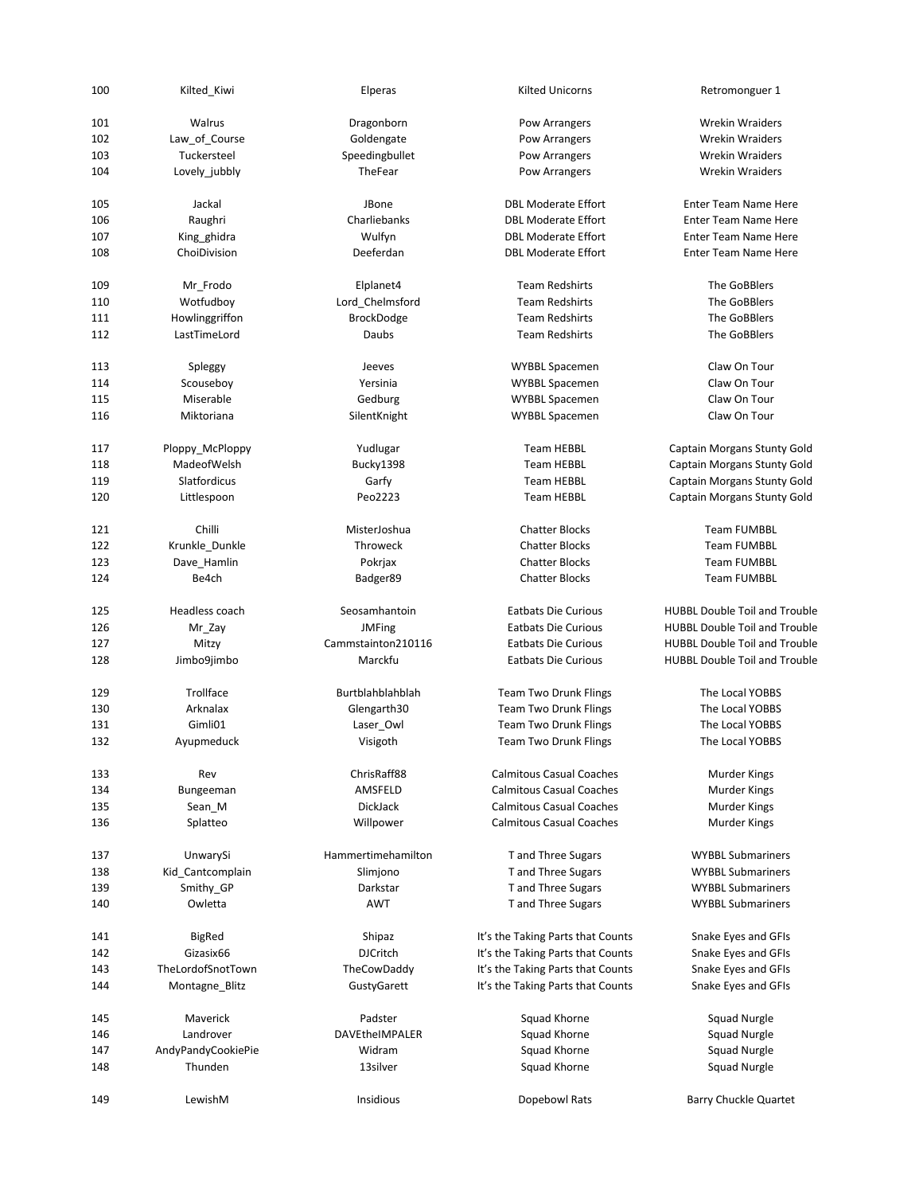| 100        | Kilted Kiwi          | Elperas            | <b>Kilted Unicorns</b>            | Retromonguer 1                       |
|------------|----------------------|--------------------|-----------------------------------|--------------------------------------|
| 101        | Walrus               | Dragonborn         | Pow Arrangers                     | <b>Wrekin Wraiders</b>               |
| 102        | Law_of_Course        | Goldengate         | Pow Arrangers                     | <b>Wrekin Wraiders</b>               |
| 103        | Tuckersteel          | Speedingbullet     | Pow Arrangers                     | <b>Wrekin Wraiders</b>               |
| 104        | Lovely_jubbly        | TheFear            |                                   | <b>Wrekin Wraiders</b>               |
|            |                      |                    | Pow Arrangers                     |                                      |
| 105        | Jackal               | JBone              | <b>DBL Moderate Effort</b>        | Enter Team Name Here                 |
| 106        | Raughri              | Charliebanks       | <b>DBL Moderate Effort</b>        | <b>Enter Team Name Here</b>          |
| 107        | King ghidra          | Wulfyn             | <b>DBL Moderate Effort</b>        | Enter Team Name Here                 |
| 108        | ChoiDivision         | Deeferdan          | <b>DBL Moderate Effort</b>        | Enter Team Name Here                 |
|            |                      |                    |                                   |                                      |
| 109        | Mr_Frodo             | Elplanet4          | <b>Team Redshirts</b>             | The GoBBlers                         |
| 110        | Wotfudboy            | Lord_Chelmsford    | <b>Team Redshirts</b>             | The GoBBlers                         |
| 111        | Howlinggriffon       | BrockDodge         | <b>Team Redshirts</b>             | The GoBBlers                         |
| 112        | LastTimeLord         | Daubs              | <b>Team Redshirts</b>             | The GoBBlers                         |
| 113        | Spleggy              | Jeeves             | WYBBL Spacemen                    | Claw On Tour                         |
| 114        | Scouseboy            | Yersinia           | <b>WYBBL Spacemen</b>             | Claw On Tour                         |
| 115        | Miserable            | Gedburg            | <b>WYBBL Spacemen</b>             | Claw On Tour                         |
| 116        | Miktoriana           | SilentKnight       | <b>WYBBL Spacemen</b>             | Claw On Tour                         |
|            |                      |                    |                                   |                                      |
| 117        | Ploppy_McPloppy      | Yudlugar           | <b>Team HEBBL</b>                 | Captain Morgans Stunty Gold          |
| 118        | MadeofWelsh          | Bucky1398          | <b>Team HEBBL</b>                 | Captain Morgans Stunty Gold          |
| 119        | <b>Slatfordicus</b>  | Garfy              | Team HEBBL                        | Captain Morgans Stunty Gold          |
| 120        | Littlespoon          | Peo2223            | <b>Team HEBBL</b>                 | <b>Captain Morgans Stunty Gold</b>   |
| 121        | Chilli               | MisterJoshua       | <b>Chatter Blocks</b>             | <b>Team FUMBBL</b>                   |
| 122        | Krunkle_Dunkle       | Throweck           | <b>Chatter Blocks</b>             | <b>Team FUMBBL</b>                   |
|            |                      |                    | <b>Chatter Blocks</b>             | <b>Team FUMBBL</b>                   |
| 123<br>124 | Dave_Hamlin<br>Be4ch | Pokrjax            | <b>Chatter Blocks</b>             | <b>Team FUMBBL</b>                   |
|            |                      | Badger89           |                                   |                                      |
| 125        | Headless coach       | Seosamhantoin      | <b>Eatbats Die Curious</b>        | <b>HUBBL Double Toil and Trouble</b> |
| 126        | Mr_Zay               | <b>JMFing</b>      | <b>Eatbats Die Curious</b>        | <b>HUBBL Double Toil and Trouble</b> |
| 127        | Mitzy                | Cammstainton210116 | <b>Eatbats Die Curious</b>        | <b>HUBBL Double Toil and Trouble</b> |
| 128        | Jimbo9jimbo          | Marckfu            | <b>Eatbats Die Curious</b>        | <b>HUBBL Double Toil and Trouble</b> |
|            |                      |                    |                                   |                                      |
| 129        | Trollface            | Burtblahblahblah   | <b>Team Two Drunk Flings</b>      | The Local YOBBS                      |
| 130        | Arknalax             | Glengarth30        | <b>Team Two Drunk Flings</b>      | The Local YOBBS                      |
| 131        | Gimli01              | Laser_Owl          | <b>Team Two Drunk Flings</b>      | The Local YOBBS                      |
| 132        | Ayupmeduck           | Visigoth           | <b>Team Two Drunk Flings</b>      | The Local YOBBS                      |
| 133        | Rev                  | ChrisRaff88        | <b>Calmitous Casual Coaches</b>   | <b>Murder Kings</b>                  |
| 134        | Bungeeman            | AMSFELD            | <b>Calmitous Casual Coaches</b>   | <b>Murder Kings</b>                  |
| 135        | Sean_M               | DickJack           | <b>Calmitous Casual Coaches</b>   | Murder Kings                         |
| 136        | Splatteo             | Willpower          | <b>Calmitous Casual Coaches</b>   | Murder Kings                         |
|            |                      |                    |                                   |                                      |
| 137        | UnwarySi             | Hammertimehamilton | T and Three Sugars                | <b>WYBBL Submariners</b>             |
| 138        | Kid_Cantcomplain     | Slimjono           | T and Three Sugars                | <b>WYBBL Submariners</b>             |
| 139        | Smithy_GP            | Darkstar           | T and Three Sugars                | <b>WYBBL Submariners</b>             |
| 140        | Owletta              | <b>AWT</b>         | T and Three Sugars                | <b>WYBBL Submariners</b>             |
| 141        | <b>BigRed</b>        | Shipaz             | It's the Taking Parts that Counts | Snake Eyes and GFIs                  |
| 142        | Gizasix66            | <b>DJCritch</b>    | It's the Taking Parts that Counts | Snake Eyes and GFIs                  |
| 143        | TheLordofSnotTown    | TheCowDaddy        | It's the Taking Parts that Counts | Snake Eyes and GFIs                  |
| 144        | Montagne_Blitz       | GustyGarett        | It's the Taking Parts that Counts | Snake Eyes and GFIs                  |
|            |                      |                    |                                   |                                      |
| 145        | Maverick             | Padster            | Squad Khorne                      | Squad Nurgle                         |
| 146        | Landrover            | DAVEtheIMPALER     | Squad Khorne                      | Squad Nurgle                         |
| 147        | AndyPandyCookiePie   | Widram             | Squad Khorne                      | Squad Nurgle                         |
| 148        | Thunden              | 13silver           | Squad Khorne                      | Squad Nurgle                         |
| 149        | LewishM              | Insidious          | Dopebowl Rats                     | <b>Barry Chuckle Quartet</b>         |